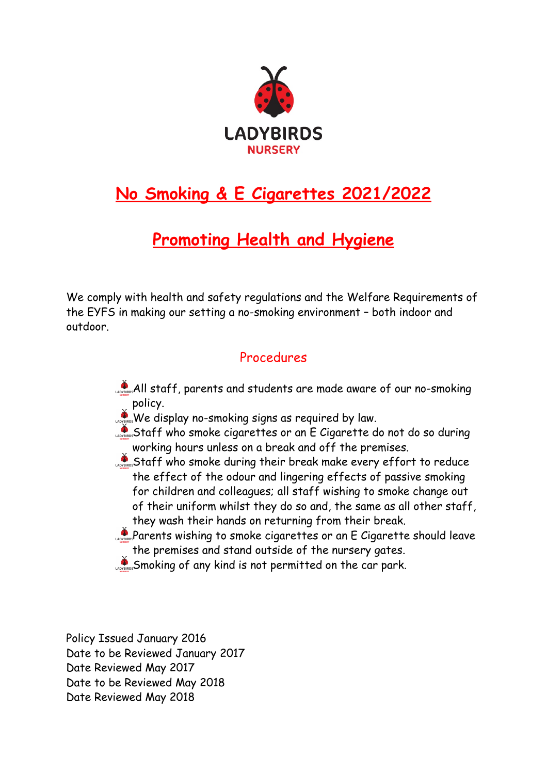

## **No Smoking & E Cigarettes 2021/2022**

## **Promoting Health and Hygiene**

We comply with health and safety regulations and the Welfare Requirements of the EYFS in making our setting a no-smoking environment – both indoor and outdoor.

## Procedures

- All staff, parents and students are made aware of our no-smoking policy.
- We display no-smoking signs as required by law.
- Staff who smoke cigarettes or an E Cigarette do not do so during working hours unless on a break and off the premises.
- Staff who smoke during their break make every effort to reduce the effect of the odour and lingering effects of passive smoking for children and colleagues; all staff wishing to smoke change out of their uniform whilst they do so and, the same as all other staff, they wash their hands on returning from their break.
- Parents wishing to smoke cigarettes or an E Cigarette should leave the premises and stand outside of the nursery gates.
- Smoking of any kind is not permitted on the car park.

Policy Issued January 2016 Date to be Reviewed January 2017 Date Reviewed May 2017 Date to be Reviewed May 2018 Date Reviewed May 2018